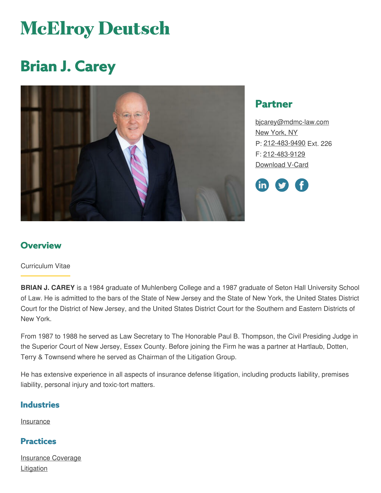# **McElroy Deutsch**

## **Brian J. Carey**



## **Partner**

[bjcarey@mdmc-law.com](mailto:bjcarey@mdmc-law.com) New [York,](https://www.mdmc-law.com/offices/new-york) NY P: [212-483-9490](tel:212-483-9490) Ext. 226 F: [212-483-9129](tel:212-483-9129) [Download](https://www.mdmc-law.com/node/81/vcard) V-Card



## **Overview**

#### Curriculum Vitae

**BRIAN J. CAREY** is a 1984 graduate of Muhlenberg College and a 1987 graduate of Seton Hall University School of Law. He is admitted to the bars of the State of New Jersey and the State of New York, the United States District Court for the District of New Jersey, and the United States District Court for the Southern and Eastern Districts of New York.

From 1987 to 1988 he served as Law Secretary to The Honorable Paul B. Thompson, the Civil Presiding Judge in the Superior Court of New Jersey, Essex County. Before joining the Firm he was a partner at Hartlaub, Dotten, Terry & Townsend where he served as Chairman of the Litigation Group.

He has extensive experience in all aspects of insurance defense litigation, including products liability, premises liability, personal injury and toxic-tort matters.

#### **Industries**

**[Insurance](https://www.mdmc-law.com/industries/insurance)** 

### **Practices**

[Insurance](https://www.mdmc-law.com/practices/insurance-coverage) Coverage **[Litigation](https://www.mdmc-law.com/practices/litigation)**